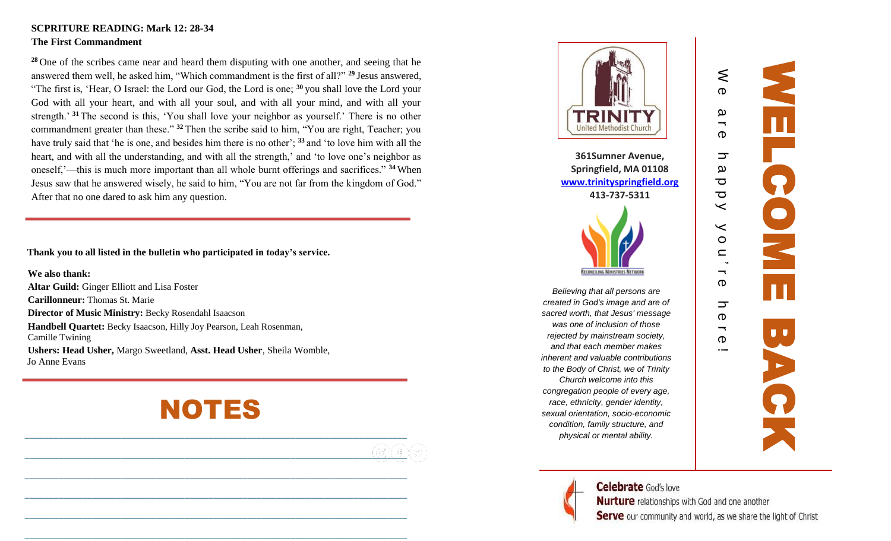#### **SCPRITURE READING: Mark 12: 28 -34 The First Commandment**

**<sup>28</sup>** One of the scribes came near and heard them disputing with one another, and seeing that he answered them well, he asked him, "Which commandment is the first of all?" **<sup>29</sup>** Jesus answered, "The first is, 'Hear, O Israel: the Lord our God, the Lord is one; **<sup>30</sup>** you shall love the Lord your God with all your heart, and with all your soul, and with all your mind, and with all your strength.' **<sup>31</sup>** The second is this, 'You shall love your neighbor as yourself.' There is no other commandment greater than these." **<sup>32</sup>** Then the scribe said to him, "You are right, Teacher; you have truly said that 'he is one, and besides him there is no other'; **<sup>33</sup>** and 'to love him with all the heart, and with all the understanding, and with all the strength,' and 'to love one's neighbor as oneself,' —this is much more important than all whole burnt offerings and sacrifices." **<sup>34</sup>** When Jesus saw that he answered wisely, he said to him, "You are not far from the kingdom of God." After that no one dared to ask him any question.

 **Thank you to all listed in the bulletin who participated in today's service.**

**We also thank: Altar Guild:** Ginger Elliott and Lisa Foster **Carillonneur:** Thomas St. Marie **Director of Music Ministry:** Becky Rosenda hl Isaacson **Handbell Quartet:** Becky Isaacson, Hilly Joy Pearson, Leah Rosenman, Camille Twining **Ushers: Head Usher,** Margo Sweetland, **Asst. Head Usher**, Sheila Womble, Jo Anne Evans

# NOTES

**\_\_\_\_\_\_\_\_\_\_\_\_\_\_\_\_\_\_\_\_\_\_\_\_\_\_\_\_\_\_\_\_\_\_\_\_\_\_\_\_\_\_\_\_\_\_\_\_\_\_\_\_\_\_\_\_\_\_\_\_\_\_\_\_\_\_\_\_\_\_\_\_\_\_\_\_\_\_\_**

**\_\_\_\_\_\_\_\_\_\_\_\_\_\_\_\_\_\_\_\_\_\_\_\_\_\_\_\_\_\_\_\_\_\_\_\_\_\_\_\_\_\_\_\_\_\_\_\_\_\_\_\_\_\_\_\_\_\_\_\_\_\_\_\_\_\_\_\_\_\_\_\_\_\_\_\_\_\_\_**

**\_\_\_\_\_\_\_\_\_\_\_\_\_\_\_\_\_\_\_\_\_\_\_\_\_\_\_\_\_\_\_\_\_\_\_\_\_\_\_\_\_\_\_\_\_\_\_\_\_\_\_\_\_\_\_\_\_\_\_\_\_\_\_\_\_\_\_\_\_\_\_\_\_\_\_\_\_\_\_**

**\_\_\_\_\_\_\_\_\_\_\_\_\_\_\_\_\_\_\_\_\_\_\_\_\_\_\_\_\_\_\_\_\_\_\_\_\_\_\_\_\_\_\_\_\_\_\_\_\_\_\_\_\_\_\_\_\_\_\_\_\_\_\_\_\_\_\_\_\_\_\_\_\_\_\_\_\_\_\_**

**\_\_\_\_\_\_\_\_\_\_\_\_\_\_\_\_\_\_\_\_\_\_\_\_\_\_\_\_\_\_\_\_\_\_\_\_\_\_\_\_\_\_\_\_\_\_\_\_\_\_\_\_\_\_\_\_\_\_\_\_\_\_\_\_\_\_\_\_\_\_\_\_\_\_\_\_\_\_\_**

**\_\_\_\_\_\_\_\_\_\_\_\_\_\_\_\_\_\_\_\_\_\_\_\_\_\_\_\_\_\_\_\_\_\_\_\_\_\_\_\_\_\_\_\_\_\_\_\_\_\_\_\_\_\_\_\_\_\_\_\_\_\_\_\_\_\_\_\_\_\_\_\_\_\_\_\_\_\_\_**





 $\leq$  $\mathbf D$ 

മ  $\overline{\phantom{a}}$  $\sigma$ 

 $\overline{\phantom{a}}$ മ  $\mathbf{\nabla}$  $\overline{\sigma}$ 

 $\prec$ 

 $\prec$ 

 $\circ$  $\mathbf{\subseteq}$  $\ddot{\phantom{1}}$  $\overline{\phantom{0}}$ 

 $\Phi$ 

 $\overline{\phantom{a}}$  $\boldsymbol{\sigma}$  $\overline{\phantom{a}}$ 

 $\mathbf \sigma$ 



**Celebrate** God's love Nurture relationships with God and one another **Serve** our community and world, as we share the light of Christ